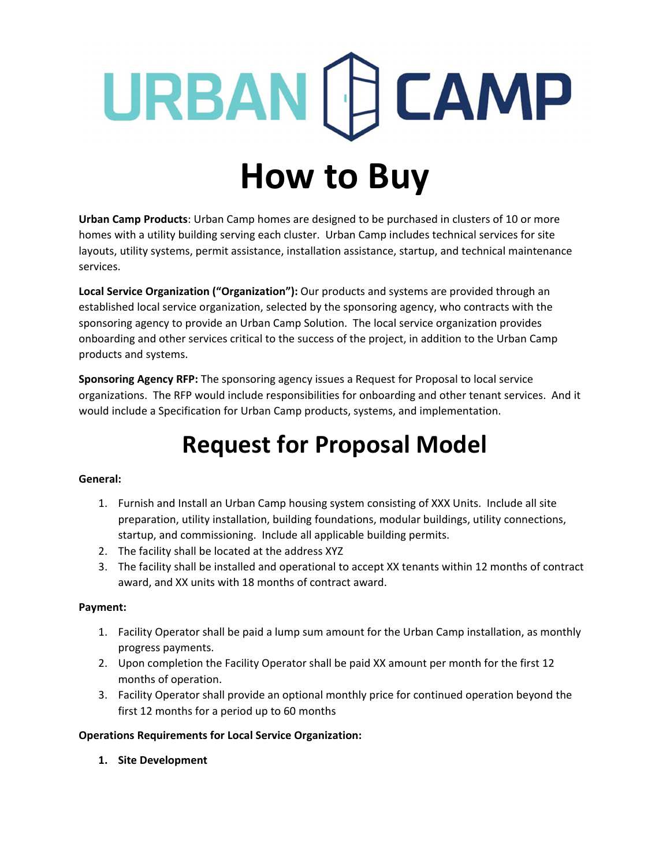### URBAN [F] CAMP **How to Buy**

**Urban Camp Products**: Urban Camp homes are designed to be purchased in clusters of 10 or more homes with a utility building serving each cluster. Urban Camp includes technical services for site layouts, utility systems, permit assistance, installation assistance, startup, and technical maintenance services.

**Local Service Organization ("Organization"):** Our products and systems are provided through an established local service organization, selected by the sponsoring agency, who contracts with the sponsoring agency to provide an Urban Camp Solution. The local service organization provides onboarding and other services critical to the success of the project, in addition to the Urban Camp products and systems.

**Sponsoring Agency RFP:** The sponsoring agency issues a Request for Proposal to local service organizations. The RFP would include responsibilities for onboarding and other tenant services. And it would include a Specification for Urban Camp products, systems, and implementation.

### **Request for Proposal Model**

### **General:**

- 1. Furnish and Install an Urban Camp housing system consisting of XXX Units. Include all site preparation, utility installation, building foundations, modular buildings, utility connections, startup, and commissioning. Include all applicable building permits.
- 2. The facility shall be located at the address XYZ
- 3. The facility shall be installed and operational to accept XX tenants within 12 months of contract award, and XX units with 18 months of contract award.

### **Payment:**

- 1. Facility Operator shall be paid a lump sum amount for the Urban Camp installation, as monthly progress payments.
- 2. Upon completion the Facility Operator shall be paid XX amount per month for the first 12 months of operation.
- 3. Facility Operator shall provide an optional monthly price for continued operation beyond the first 12 months for a period up to 60 months

### **Operations Requirements for Local Service Organization:**

**1. Site Development**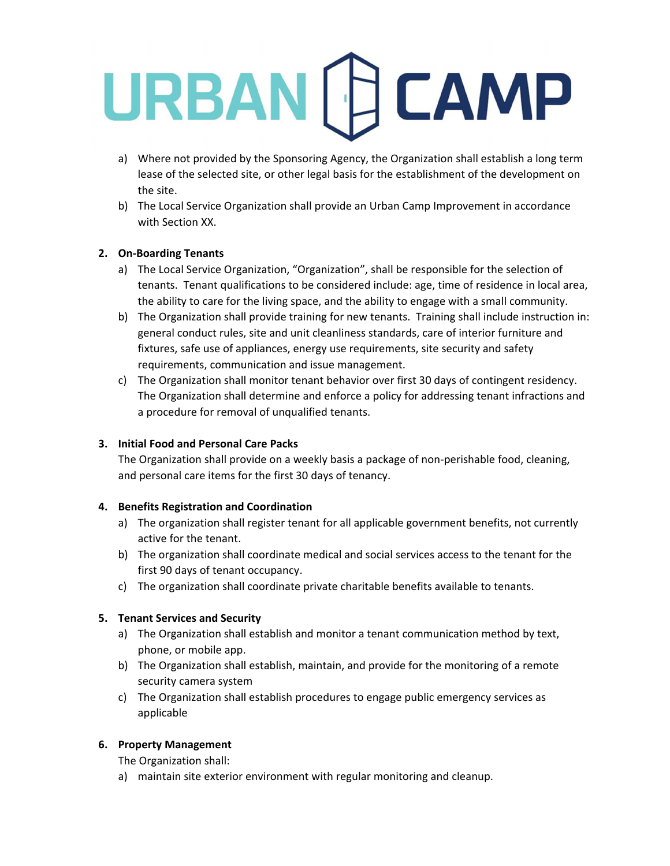- a) Where not provided by the Sponsoring Agency, the Organization shall establish a long term lease of the selected site, or other legal basis for the establishment of the development on the site.
- b) The Local Service Organization shall provide an Urban Camp Improvement in accordance with Section XX.

### **2. On‐Boarding Tenants**

- a) The Local Service Organization, "Organization", shall be responsible for the selection of tenants. Tenant qualifications to be considered include: age, time of residence in local area, the ability to care for the living space, and the ability to engage with a small community.
- b) The Organization shall provide training for new tenants. Training shall include instruction in: general conduct rules, site and unit cleanliness standards, care of interior furniture and fixtures, safe use of appliances, energy use requirements, site security and safety requirements, communication and issue management.
- c) The Organization shall monitor tenant behavior over first 30 days of contingent residency. The Organization shall determine and enforce a policy for addressing tenant infractions and a procedure for removal of unqualified tenants.

### **3. Initial Food and Personal Care Packs**

The Organization shall provide on a weekly basis a package of non-perishable food, cleaning, and personal care items for the first 30 days of tenancy.

### **4. Benefits Registration and Coordination**

- a) The organization shall register tenant for all applicable government benefits, not currently active for the tenant.
- b) The organization shall coordinate medical and social services access to the tenant for the first 90 days of tenant occupancy.
- c) The organization shall coordinate private charitable benefits available to tenants.

### **5. Tenant Services and Security**

- a) The Organization shall establish and monitor a tenant communication method by text, phone, or mobile app.
- b) The Organization shall establish, maintain, and provide for the monitoring of a remote security camera system
- c) The Organization shall establish procedures to engage public emergency services as applicable

### **6. Property Management**

The Organization shall:

a) maintain site exterior environment with regular monitoring and cleanup.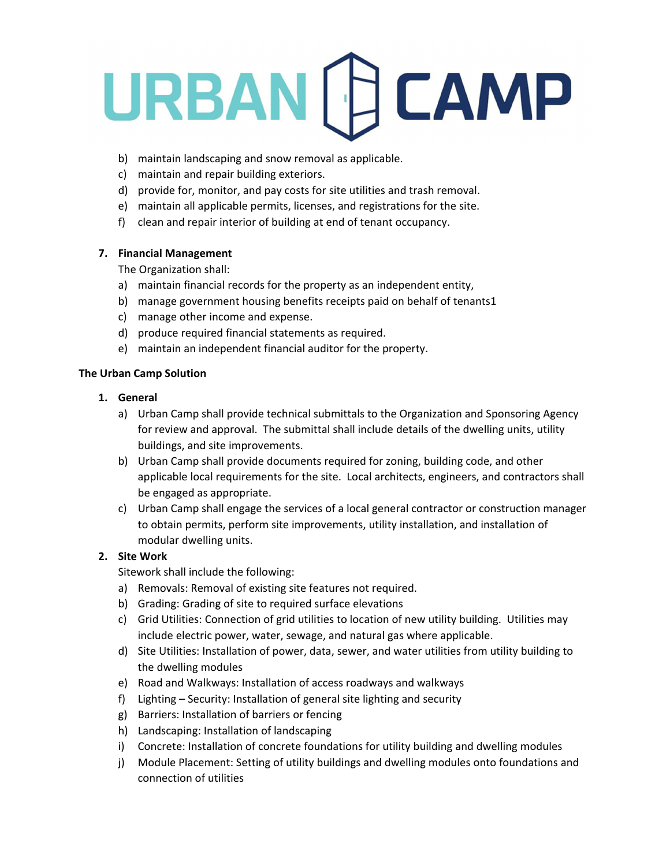- b) maintain landscaping and snow removal as applicable.
- c) maintain and repair building exteriors.
- d) provide for, monitor, and pay costs for site utilities and trash removal.
- e) maintain all applicable permits, licenses, and registrations for the site.
- f) clean and repair interior of building at end of tenant occupancy.

### **7. Financial Management**

The Organization shall:

- a) maintain financial records for the property as an independent entity,
- b) manage government housing benefits receipts paid on behalf of tenants1
- c) manage other income and expense.
- d) produce required financial statements as required.
- e) maintain an independent financial auditor for the property.

### **The Urban Camp Solution**

### **1. General**

- a) Urban Camp shall provide technical submittals to the Organization and Sponsoring Agency for review and approval. The submittal shall include details of the dwelling units, utility buildings, and site improvements.
- b) Urban Camp shall provide documents required for zoning, building code, and other applicable local requirements for the site. Local architects, engineers, and contractors shall be engaged as appropriate.
- c) Urban Camp shall engage the services of a local general contractor or construction manager to obtain permits, perform site improvements, utility installation, and installation of modular dwelling units.

### **2. Site Work**

Sitework shall include the following:

- a) Removals: Removal of existing site features not required.
- b) Grading: Grading of site to required surface elevations
- c) Grid Utilities: Connection of grid utilities to location of new utility building. Utilities may include electric power, water, sewage, and natural gas where applicable.
- d) Site Utilities: Installation of power, data, sewer, and water utilities from utility building to the dwelling modules
- e) Road and Walkways: Installation of access roadways and walkways
- f) Lighting Security: Installation of general site lighting and security
- g) Barriers: Installation of barriers or fencing
- h) Landscaping: Installation of landscaping
- i) Concrete: Installation of concrete foundations for utility building and dwelling modules
- j) Module Placement: Setting of utility buildings and dwelling modules onto foundations and connection of utilities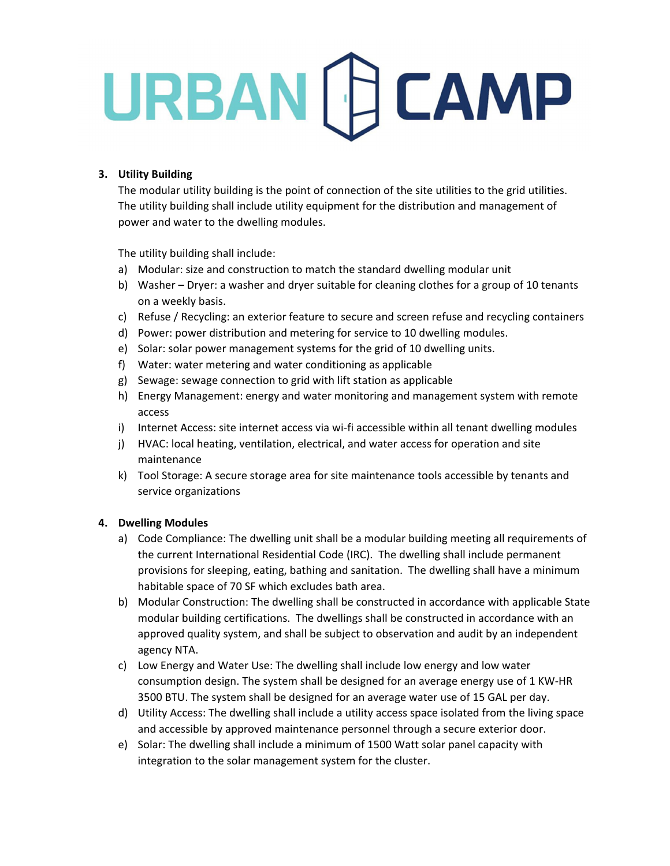### **3. Utility Building**

The modular utility building is the point of connection of the site utilities to the grid utilities. The utility building shall include utility equipment for the distribution and management of power and water to the dwelling modules.

The utility building shall include:

- a) Modular: size and construction to match the standard dwelling modular unit
- b) Washer Dryer: a washer and dryer suitable for cleaning clothes for a group of 10 tenants on a weekly basis.
- c) Refuse / Recycling: an exterior feature to secure and screen refuse and recycling containers
- d) Power: power distribution and metering for service to 10 dwelling modules.
- e) Solar: solar power management systems for the grid of 10 dwelling units.
- f) Water: water metering and water conditioning as applicable
- g) Sewage: sewage connection to grid with lift station as applicable
- h) Energy Management: energy and water monitoring and management system with remote access
- i) Internet Access: site internet access via wi-fi accessible within all tenant dwelling modules
- j) HVAC: local heating, ventilation, electrical, and water access for operation and site maintenance
- k) Tool Storage: A secure storage area for site maintenance tools accessible by tenants and service organizations

### **4. Dwelling Modules**

- a) Code Compliance: The dwelling unit shall be a modular building meeting all requirements of the current International Residential Code (IRC). The dwelling shall include permanent provisions for sleeping, eating, bathing and sanitation. The dwelling shall have a minimum habitable space of 70 SF which excludes bath area.
- b) Modular Construction: The dwelling shall be constructed in accordance with applicable State modular building certifications. The dwellings shall be constructed in accordance with an approved quality system, and shall be subject to observation and audit by an independent agency NTA.
- c) Low Energy and Water Use: The dwelling shall include low energy and low water consumption design. The system shall be designed for an average energy use of 1 KW‐HR 3500 BTU. The system shall be designed for an average water use of 15 GAL per day.
- d) Utility Access: The dwelling shall include a utility access space isolated from the living space and accessible by approved maintenance personnel through a secure exterior door.
- e) Solar: The dwelling shall include a minimum of 1500 Watt solar panel capacity with integration to the solar management system for the cluster.